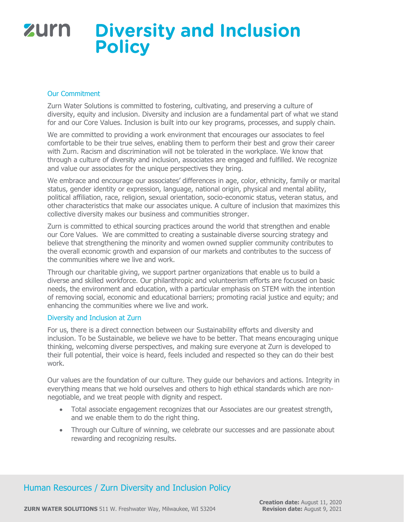## zurn **Diversity and Inclusion Policy**

#### Our Commitment

Zurn Water Solutions is committed to fostering, cultivating, and preserving a culture of diversity, equity and inclusion. Diversity and inclusion are a fundamental part of what we stand for and our Core Values. Inclusion is built into our key programs, processes, and supply chain.

We are committed to providing a work environment that encourages our associates to feel comfortable to be their true selves, enabling them to perform their best and grow their career with Zurn. Racism and discrimination will not be tolerated in the workplace. We know that through a culture of diversity and inclusion, associates are engaged and fulfilled. We recognize and value our associates for the unique perspectives they bring.

We embrace and encourage our associates' differences in age, color, ethnicity, family or marital status, gender identity or expression, language, national origin, physical and mental ability, political affiliation, race, religion, sexual orientation, socio-economic status, veteran status, and other characteristics that make our associates unique. A culture of inclusion that maximizes this collective diversity makes our business and communities stronger.

Zurn is committed to ethical sourcing practices around the world that strengthen and enable our Core Values. We are committed to creating a sustainable diverse sourcing strategy and believe that strengthening the minority and women owned supplier community contributes to the overall economic growth and expansion of our markets and contributes to the success of the communities where we live and work.

Through our charitable giving, we support partner organizations that enable us to build a diverse and skilled workforce. Our philanthropic and volunteerism efforts are focused on basic needs, the environment and education, with a particular emphasis on STEM with the intention of removing social, economic and educational barriers; promoting racial justice and equity; and enhancing the communities where we live and work.

#### Diversity and Inclusion at Zurn

For us, there is a direct connection between our Sustainability efforts and diversity and inclusion. To be Sustainable, we believe we have to be better. That means encouraging unique thinking, welcoming diverse perspectives, and making sure everyone at Zurn is developed to their full potential, their voice is heard, feels included and respected so they can do their best work.

Our values are the foundation of our culture. They guide our behaviors and actions. Integrity in everything means that we hold ourselves and others to high ethical standards which are nonnegotiable, and we treat people with dignity and respect.

- Total associate engagement recognizes that our Associates are our greatest strength, and we enable them to do the right thing.
- Through our Culture of winning, we celebrate our successes and are passionate about rewarding and recognizing results.

## Human Resources / Zurn Diversity and Inclusion Policy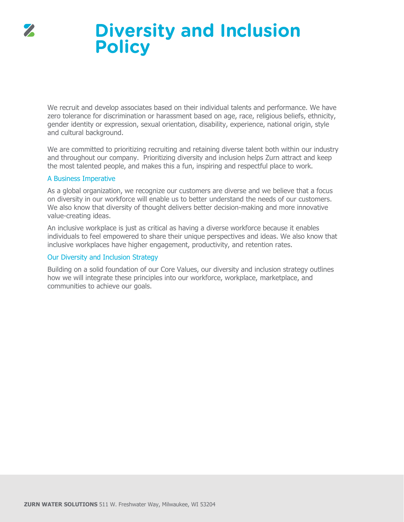



We recruit and develop associates based on their individual talents and performance. We have zero tolerance for discrimination or harassment based on age, race, religious beliefs, ethnicity, gender identity or expression, sexual orientation, disability, experience, national origin, style and cultural background.

We are committed to prioritizing recruiting and retaining diverse talent both within our industry and throughout our company. Prioritizing diversity and inclusion helps Zurn attract and keep the most talented people, and makes this a fun, inspiring and respectful place to work.

#### A Business Imperative

As a global organization, we recognize our customers are diverse and we believe that a focus on diversity in our workforce will enable us to better understand the needs of our customers. We also know that diversity of thought delivers better decision-making and more innovative value-creating ideas.

An inclusive workplace is just as critical as having a diverse workforce because it enables individuals to feel empowered to share their unique perspectives and ideas. We also know that inclusive workplaces have higher engagement, productivity, and retention rates.

### Our Diversity and Inclusion Strategy

Building on a solid foundation of our Core Values, our diversity and inclusion strategy outlines how we will integrate these principles into our workforce, workplace, marketplace, and communities to achieve our goals.

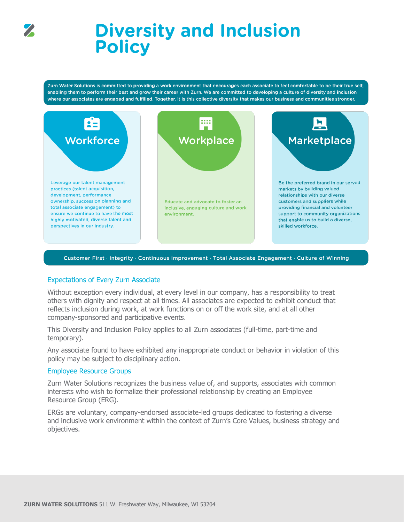

## **Diversity and Inclusion Policy**

Zurn Water Solutions is committed to providing a work environment that encourages each associate to feel comfortable to be their true self, enabling them to perform their best and grow their career with Zurn. We are committed to developing a culture of diversity and inclusion where our associates are engaged and fulfilled. Together, it is this collective diversity that makes our business and communities stronger.



#### Customer First · Integrity · Continuous Improvement · Total Associate Engagement · Culture of Winning

#### Expectations of Every Zurn Associate

Without exception every individual, at every level in our company, has a responsibility to treat others with dignity and respect at all times. All associates are expected to exhibit conduct that reflects inclusion during work, at work functions on or off the work site, and at all other company-sponsored and participative events.

This Diversity and Inclusion Policy applies to all Zurn associates (full-time, part-time and temporary).

Any associate found to have exhibited any inappropriate conduct or behavior in violation of this policy may be subject to disciplinary action.

#### Employee Resource Groups

Zurn Water Solutions recognizes the business value of, and supports, associates with common interests who wish to formalize their professional relationship by creating an Employee Resource Group (ERG).

ERGs are voluntary, company-endorsed associate-led groups dedicated to fostering a diverse and inclusive work environment within the context of Zurn's Core Values, business strategy and objectives.